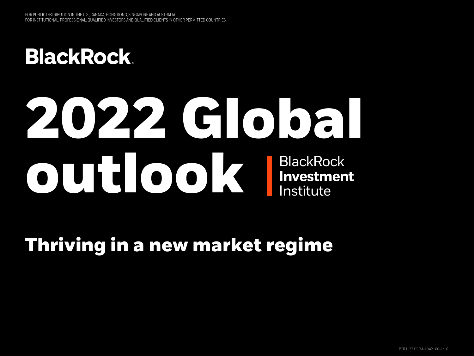**BlackRock.** 

# **BlackRock Investment** Institute **2022 Global outlook**

## **Thriving in a new market regime**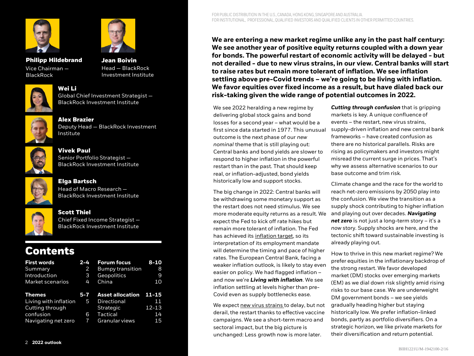



**Philipp Hildebrand** Vice Chairman — **BlackRock** 

**Jean Boivin** Head — BlackRock Investment Institute



**Wei Li** Global Chief Investment Strategist — BlackRock Investment Institute



**Alex Brazier** Deputy Head — BlackRock Investment Institute



**Vivek Paul** Senior Portfolio Strategist — BlackRock Investment Institute



**Elga Bartsch** Head of Macro Research — BlackRock Investment Institute



#### **Scott Thiel** Chief Fixed Income Strategist — BlackRock Investment Institute

### **Contents**

| <b>First words</b>    | $2 - 4$ | <b>Forum focus</b>      | $8 - 10$  |
|-----------------------|---------|-------------------------|-----------|
| Summary               | 2       | <b>Bumpy transition</b> | 8         |
| Introduction          | 3       | Geopolitics             | 9         |
| Market scenarios      | 4       | China                   | 10        |
| Themes                | $5 - 7$ | <b>Asset allocation</b> | 11-15     |
| Living with inflation | 45      | Directional             | 11        |
| Cutting through       |         | <b>Strategic</b>        | $12 - 13$ |
| confusion             | 6       | Tactical                | 14        |
| Navigating net zero   | 7       | Granular views          | 15        |
|                       |         |                         |           |

**We are entering a new market regime unlike any in the past half century: We see another year of positive equity returns coupled with a down year for bonds. The powerful restart of economic activity will be delayed - but not derailed - due to new virus strains, in our view. Central banks will start to raise rates but remain more tolerant of inflation. We see inflation settling above pre-Covid trends – we're going to be living with inflation. We favor equities over fixed income as a result, but have dialed back our risk-taking given the wide range of potential outcomes in 2022.** 

We see 2022 heralding a new regime by delivering global stock gains and bond losses for a second year – what would be a first since data started in 1977. This unusual outcome is the next phase of our *new nominal* theme that is still playing out: Central banks and bond yields are slower to respond to higher inflation in the powerful restart than in the past. That should keep real, or inflation-adjusted, bond yields historically low and support stocks.

The big change in 2022: Central banks will be withdrawing some monetary support as the restart does not need stimulus. We see more moderate equity returns as a result. We expect the Fed to kick off rate hikes but remain more tolerant of inflation. The Fed has achieved its [inflation target,](https://www.blackrock.com/corporate/insights/blackrock-investment-institute/macro-insights/november-29-2021) so its interpretation of its employment mandate will determine the timing and pace of higher rates. The European Central Bank, facing a weaker inflation outlook, is likely to stay even easier on policy. We had flagged inflation – and now we're *Living with inflation*. We see inflation settling at levels higher than pre-Covid even as supply bottlenecks ease.

We expect [new virus strains t](https://www.blackrock.com/corporate/insights/blackrock-investment-institute/interactive-charts/covid-tracker#virus-trends)o delay, but not derail, the restart thanks to effective vaccine campaigns. We see a short-term macro and sectoral impact, but the big picture is unchanged: Less growth now is more later.

*Cutting through confusion* that is gripping markets is key. A unique confluence of events – the restart, new virus strains, supply-driven inflation and new central bank frameworks – have created confusion as there are no historical parallels. Risks are rising as policymakers and investors might misread the current surge in prices. That's why we assess alternative scenarios to our base outcome and trim risk.

Climate change and the race for the world to reach net-zero emissions by 2050 play into the confusion. We view the transition as a supply shock contributing to higher inflation and playing out over decades. *Navigating net zero* is not just a long-term story – it's a *now* story. Supply shocks are here, and the tectonic shift toward sustainable investing is already playing out.

How to thrive in this new market regime? We prefer equities in the inflationary backdrop of the strong restart. We favor developed market (DM) stocks over emerging markets (EM) as we dial down risk slightly amid rising risks to our base case. We are underweight DM government bonds – we see yields gradually heading higher but staying historically low. We prefer inflation-linked bonds, partly as portfolio diversifiers. On a strategic horizon, we like private markets for their diversification and return potential.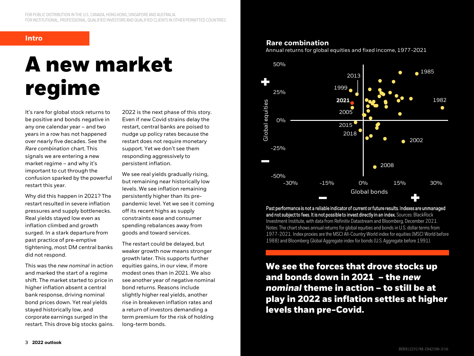# **A new market regime**

It's rare for global stock returns to be positive and bonds negative in any one calendar year – and two years in a row has not happened over nearly five decades. See the *Rare combination* chart. This signals we are entering a new market regime – and why it's important to cut through the confusion sparked by the powerful restart this year.

Why did this happen in 2021? The restart resulted in severe inflation pressures and supply bottlenecks. Real yields stayed low even as inflation climbed and growth surged. In a stark departure from past practice of pre-emptive tightening, most DM central banks did not respond.

This was the *new nominal* in action and marked the start of a regime shift. The market started to price in higher inflation absent a central bank response, driving nominal bond prices down. Yet real yields stayed historically low, and corporate earnings surged in the restart. This drove big stocks gains. 2022 is the next phase of this story. Even if new Covid strains delay the restart, central banks are poised to nudge up policy rates because the restart does not require monetary support. Yet we don't see them responding aggressively to persistent inflation.

We see real yields gradually rising, but remaining near historically low levels. We see inflation remaining persistently higher than its prepandemic level. Yet we see it coming off its recent highs as supply constraints ease and consumer spending rebalances away from goods and toward services.

The restart could be delayed, but weaker growth now means stronger growth later. This supports further equities gains, in our view, if more modest ones than in 2021. We also see another year of negative nominal bond returns. Reasons include slightly higher real yields, another rise in breakeven inflation rates and a return of investors demanding a term premium for the risk of holding long-term bonds.

### **Intro Rare combination**

Annual returns for global equities and fixed income, 1977-2021



Past performance is not a reliable indicator of current or future results. Indexes are unmanaged and not subject to fees. It is not possible to invest directly in an index. Sources: BlackRock Investment Institute, with data from Refinitiv Datastream and Bloomberg, December 2021. Notes: The chart shows annual returns for global equities and bonds in U.S. dollar terms from 1977-2021. Index proxies are the MSCI All-Country World index for equities (MSCI World before 1988) and Bloomberg Global Aggregate index for bonds (U.S. Aggregate before 1991).

**We see the forces that drove stocks up and bonds down in 2021 – the** *new nominal* **theme in action – to still be at play in 2022 as inflation settles at higher levels than pre-Covid.**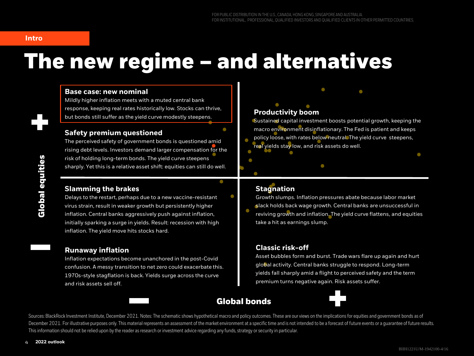#### **Intro**

# **The new regime – and alternatives**

#### 40% **Base case: new nominal**

but bonds still suffer as the yield curve modestly steepens. Mildly higher inflation meets with a muted central bank response, keeping real rates historically low. Stocks can thrive,

### **Safety premium questioned**

risk of holding long-term bonds. The yield curve steepens The perceived safety of government bonds is questioned amid rising debt levels. Investors demand larger compensation for the sharply. Yet this is a relative asset shift: equities can still do well.

#### **Slamming the brakes**

-20% initially sparking a surge in yields. Result: recession with high Delays to the restart, perhaps due to a new vaccine-resistant virus strain, result in weaker growth but persistently higher inflation. Central banks aggressively push against inflation, inflation. The yield move hits stocks hard.

#### **Runaway inflation**

-50% and risk assets sell off. Inflation expectations become unanchored in the post-Covid  $30.30\pm0.000$  -20%  $-20.000$  20%  $-20.000$  20%  $-20.000$  20%  $-20.000$ confusion. A messy transition to net zero could exacerbate this. 1970s-style stagflation is back. Yields surge across the curve

### **Productivity boom**

Sustained capital investment boosts potential growth, keeping the macro environment disinflationary. The Fed is patient and keeps policy loose, with rates below neutral. The yield curve steepens, real yields stay low, and risk assets do well.

#### **Stagnation**

Growth slumps. Inflation pressures abate because labor market slack holds back wage growth. Central banks are unsuccessful in reviving growth and inflation. The yield curve flattens, and equities take a hit as earnings slump.

### **Classic risk-off**

Asset bubbles form and burst. Trade wars flare up again and hurt global activity. Central banks struggle to respond. Long-term yields fall sharply amid a flight to perceived safety and the term premium turns negative again. Risk assets suffer.

### **Global bonds**



Sources: BlackRock Investment Institute, December 2021. Notes: The schematic shows hypothetical macro and policy outcomes. These are our views on the implications for equities and government bonds as of December 2021. For illustrative purposes only. This material represents an assessment of the market environment at a specific time and is not intended to be a forecast of future events or a quarantee of future results. This information should not be relied upon by the reader as research or investment advice regarding any funds, strategy or security in particular.

0%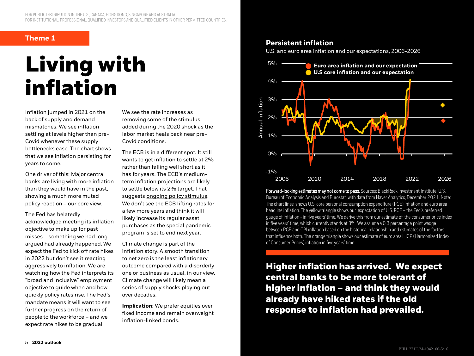#### **Theme 1**

# **Living with inflation**

Inflation jumped in 2021 on the back of supply and demand mismatches. We see inflation settling at levels higher than pre-Covid whenever these supply bottlenecks ease. The chart shows that we see inflation persisting for years to come.

One driver of this: Major central banks are living with more inflation than they would have in the past, showing a much more muted policy reaction – our core view.

The Fed has belatedly acknowledged meeting its inflation objective to make up for past misses – something we had long argued had already happened. We expect the Fed to kick off rate hikes in 2022 but don't see it reacting aggressively to inflation. We are watching how the Fed interprets its "broad and inclusive" employment objective to guide when and how quickly policy rates rise. The Fed's mandate means it will want to see further progress on the return of people to the workforce – and we expect rate hikes to be gradual.

We see the rate increases as removing some of the stimulus added during the 2020 shock as the labor market heals back near pre-Covid conditions.

The ECB is in a different spot. It still wants to get inflation to settle at 2% rather than falling well short as it has for years. The ECB's mediumterm inflation projections are likely to settle below its 2% target. That suggests [ongoing policy stimulus](https://www.blackrock.com/corporate/insights/blackrock-investment-institute/publications/global-macro-outlook#overview). We don't see the ECB lifting rates for a few more years and think it will likely increase its regular asset purchases as the special pandemic program is set to end next year.

Climate change is part of the inflation story. A smooth transition to net zero is the least inflationary outcome compared with a disorderly one or business as usual, in our view. Climate change will likely mean a series of supply shocks playing out over decades.

**Implication**: We prefer equities over fixed income and remain overweight inflation-linked bonds.

#### **Persistent inflation**

U.S. and euro area inflation and our expectations, 2006-2026



Forward-looking estimates may not come to pass. Sources: BlackRock Investment Institute, U.S. Bureau of Economic Analysis and Eurostat, with data from Haver Analytics, December 2021. Note: The chart lines shows U.S. core personal consumption expenditure (PCE) inflation and euro area headline inflation. The yellow triangle shows our expectation of U.S. PCE – the Fed's preferred gauge of inflation - in five years' time. We derive this from our estimate of the consumer price index in five years' time, which currently stands at 3%. We assume a 0.3 percentage point wedge between PCE and CPI inflation based on the historical relationship and estimates of the factors that influence both. The orange triangle shows our estimate of euro area HICP (Harmonized Index of Consumer Prices) inflation in five years' time.

**Higher inflation has arrived. We expect central banks to be more tolerant of higher inflation – and think they would already have hiked rates if the old response to inflation had prevailed.**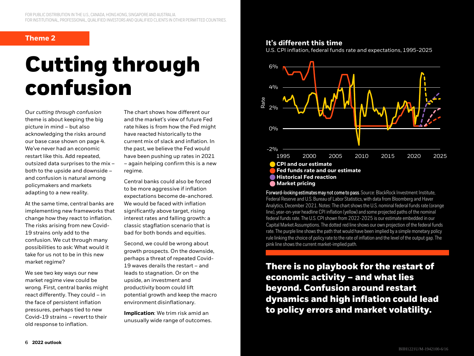# **Cutting through confusion**

Our *cutting through confusion*  theme is about keeping the big picture in mind – but also acknowledging the risks around our base case shown on page 4. We've never had an economic restart like this. Add repeated, outsized data surprises to the mix – both to the upside and downside – and confusion is natural among policymakers and markets adapting to a new reality.

At the same time, central banks are implementing new frameworks that change how they react to inflation. The risks arising from new Covid-19 strains only add to the confusion. We cut through many possibilities to ask: What would it take for us not to be in this new market regime?

We see two key ways our new market regime view could be wrong. First, central banks might react differently. They could – in the face of persistent inflation pressures, perhaps tied to new Covid-19 strains – revert to their old response to inflation.

The chart shows how different our and the market's view of future Fed rate hikes is from how the Fed might have reacted historically to the current mix of slack and inflation. In the past, we believe the Fed would have been pushing up rates in 2021 – again helping confirm this is a new regime.

Central banks could also be forced to be more aggressive if inflation expectations become de-anchored. We would be faced with inflation significantly above target, rising interest rates and falling growth: a classic stagflation scenario that is bad for both bonds and equities.

Second, we could be wrong about growth prospects. On the downside, perhaps a threat of repeated Covid-19 waves derails the restart – and leads to stagnation. Or on the upside, an investment and productivity boom could lift potential growth and keep the macro environment disinflationary.

**Implication**: We trim risk amid an unusually wide range of outcomes.

### **Theme 2 It's different this time**

U.S. CPI inflation, federal funds rate and expectations, 1995-2025



Forward-looking estimates may not come to pass. Source: BlackRock Investment Institute, Federal Reserve and U.S. Bureau of Labor Statistics, with data from Bloomberg and Haver Analytics, December 2021. Notes: The chart shows the U.S. nominal federal funds rate (orange line), year-on-year headline CPI inflation (yellow) and some projected paths of the nominal federal funds rate. The U.S. CPI shown from 2022-2025 is our estimate embedded in our Capital Market Assumptions. The dotted red line shows our own projection of the federal funds rate. The purple line shows the path that would have been implied by a simple monetary policy rule linking the choice of policy rate to the rate of inflation and the level of the output gap. The pink line shows the current market-implied path.

**There is no playbook for the restart of economic activity – and what lies beyond. Confusion around restart dynamics and high inflation could lead to policy errors and market volatility.**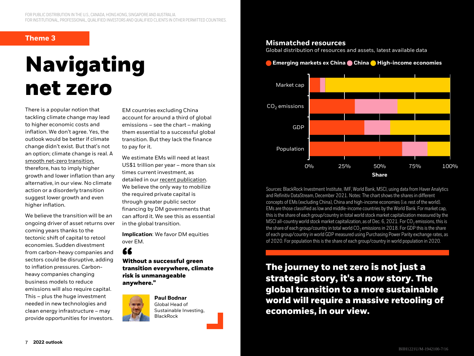#### **Theme 3**

# **Navigating net zero**

There is a popular notion that tackling climate change may lead to higher economic costs and inflation. We don't agree. Yes, the outlook would be better if climate change didn't exist. But that's not an option; climate change is real. A [smooth net-zero transition,](https://www.blackrock.com/institutions/en-zz/insights/portfolio-design/turning-climate-risk-into-opportunity) therefore, has to imply higher growth and lower inflation than any alternative, in our view. No climate action or a disorderly transition suggest lower growth and even higher inflation.

We believe the transition will be an ongoing driver of asset returns over coming years thanks to the tectonic shift of capital to retool economies. Sudden divestment from carbon-heavy companies and sectors could be disruptive, adding to inflation pressures. Carbonheavy companies changing business models to reduce emissions will also require capital. This – plus the huge investment needed in new technologies and clean energy infrastructure – may provide opportunities for investors.

EM countries excluding China account for around a third of global emissions – see the chart – making them essential to a successful global transition. But they lack the finance to pay for it.

We estimate EMs will need at least US\$1 trillion per year – more than six times current investment, as detailed in our [recent publication](https://www.blackrock.com/corporate/insights/blackrock-investment-institute/financing-the-net-zero-transition). We believe the only way to mobilize the required private capital is through greater public sector financing by DM governments that can afford it. We see this as essential in the global transition.

**Implication**: We favor DM equities over EM.

### 66

**Without a successful green transition everywhere, climate risk is unmanageable anywhere."**



**Paul Bodnar** Global Head of Sustainable Investing, **BlackRock** 

#### **Mismatched resources**

Global distribution of resources and assets, latest available data

#### **Emerging markets ex China • China • High-income economies**



Sources: BlackRock Investment Institute, IMF, World Bank, MSCI, using data from Haver Analytics and Refinitiv DataStream, December 2021. Notes: The chart shows the shares in different concepts of EMs (excluding China), China and high-income economies (i.e. rest of the world). EMs are those classified as low and middle-income countries by the World Bank. For market cap, this is the share of each group/country in total world stock market capitalization measured by the MSCI all-country world stock market capitalization, as of Dec. 6, 2021. For  $CO<sub>2</sub>$  emissions, this is the share of each group/country in total world  $CO<sub>2</sub>$  emissions in 2018. For GDP this is the share of each group/country in world GDP measured using Purchasing Power Parity exchange rates, as of 2020. For population this is the share of each group/country in world population in 2020.

**The journey to net zero is not just a strategic story, it's a** *now* **story. The global transition to a more sustainable world will require a massive retooling of economies, in our view.**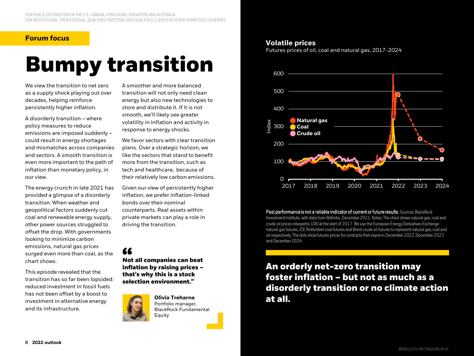#### **Forum focus**

# **Bumpy transition**

We view the transition to net zero as a supply shock playing out over decades, helping reinforce persistently higher inflation.

A disorderly transition – where policy measures to reduce emissions are imposed suddenly – could result in energy shortages and mismatches across companies and sectors. A smooth transition is even more important to the path of inflation than monetary policy, in our view.

The energy crunch in late 2021 has provided a glimpse of a disorderly transition. When weather and geopolitical factors suddenly cut coal and renewable energy supply, other power sources struggled to offset the drop. With governments looking to minimize carbon emissions, natural gas prices surged even more than coal, as the chart shows.

This episode revealed that the transition has so far been lopsided: reduced investment in fossil fuels has not been offset by a boost to investment in alternative energy and its infrastructure.

A smoother and more balanced transition will not only need clean energy but also new technologies to store and distribute it. If it is not smooth, we'll likely see greater volatility in inflation and activity in response to energy shocks.

We favor sectors with clear transition plans. Over a strategic horizon, we like the sectors that stand to benefit more from the transition, such as tech and healthcare, because of their relatively low carbon emissions.

Given our view of persistently higher inflation, we prefer inflation-linked bonds over their nominal counterparts. Real assets within private markets can play a role in driving the transition.

### 66

**Not all companies can beat inflation by raising prices – that's why this is a stock selection environment."**



#### **Volatile prices**

Futures prices of oil, coal and natural gas, 2017-2024



Past performance is not a reliable indicator of current or future results. Sources: BlackRock Investment Institute, with data from Refinitiv, December 2021. Notes: The chart shows natural gas, coal and crude oil prices rebased to 100 at the start of 2017. We use the European Energy Derivatives Exchange natural gas futures, ICE Rotterdam coal futures and Brent crude oil futures to represent natural gas, coal and oil respectively. The dots show futures prices for contracts that expire in December 2022, December 2023 and December 2024.

**An orderly net-zero transition may foster inflation – but not as much as a disorderly transition or no climate action at all.**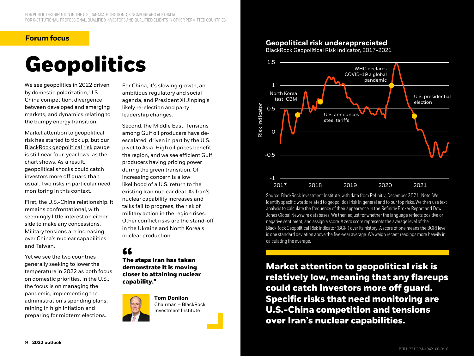#### **Forum focus**

# **Geopolitics**

We see geopolitics in 2022 driven by domestic polarization, U.S.- China competition, divergence between developed and emerging markets, and dynamics relating to the bumpy energy transition.

Market attention to geopolitical risk has started to tick up, but our [BlackRock geopolitical risk](https://www.blackrock.com/corporate/insights/blackrock-investment-institute/interactive-charts/geopolitical-risk-dashboard) gauge is still near four-year lows, as the chart shows. As a result, geopolitical shocks could catch investors more off guard than usual. Two risks in particular need monitoring in this context.

First, the U.S.-China relationship. It remains confrontational, with seemingly little interest on either side to make any concessions. Military tensions are increasing over China's nuclear capabilities and Taiwan.

Yet we see the two countries generally seeking to lower the temperature in 2022 as both focus on domestic priorities. In the U.S., the focus is on managing the pandemic, implementing the administration's spending plans, reining in high inflation and preparing for midterm elections.

For China, it's slowing growth, an ambitious regulatory and social agenda, and President Xi Jinping's likely re-election and party leadership changes.

Second, the Middle East. Tensions among Gulf oil producers have deescalated, driven in part by the U.S. pivot to Asia. High oil prices benefit the region, and we see efficient Gulf producers having pricing power during the green transition. Of increasing concern is a low likelihood of a U.S. return to the existing Iran nuclear deal. As Iran's nuclear capability increases and talks fail to progress, the risk of military action in the region rises. Other conflict risks are the stand-off in the Ukraine and North Korea's nuclear production.

### 66

**The steps Iran has taken demonstrate it is moving closer to attaining nuclear capability."**



#### **Geopolitical risk underappreciated**

BlackRock Geopolitical Risk Indicator, 2017-2021



Source: BlackRock Investment Institute, with data from Refinitiv, December 2021. Note: We identify specific words related to geopolitical risk in general and to our top risks. We then use text analysis to calculate the frequency of their appearance in the Refinitiv Broker Report and Dow Jones Global Newswire databases. We then adjust for whether the language reflects positive or negative sentiment, and assign a score. A zero score represents the average level of the BlackRock Geopolitical Risk Indicator (BGRI) over its history. A score of one means the BGRI level is one standard deviation above the five-year average. We weigh recent readings more heavily in calculating the average.

**Market attention to geopolitical risk is relatively low, meaning that any flareups could catch investors more off guard. Specific risks that need monitoring are U.S.-China competition and tensions over Iran's nuclear capabilities.**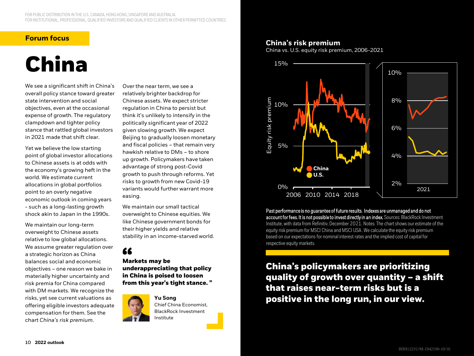#### **Forum focus**

# **China**

We see a significant shift in China's overall policy stance toward greater state intervention and social objectives, even at the occasional expense of growth. The regulatory clampdown and tighter policy stance that rattled global investors in 2021 made that shift clear.

Yet we believe the low starting point of global investor allocations to Chinese assets is at odds with the economy's growing heft in the world. We estimate current allocations in global portfolios point to an overly negative economic outlook in coming years - such as a long-lasting growth shock akin to Japan in the 1990s.

We maintain our long-term overweight to Chinese assets relative to low global allocations. We assume greater regulation over a strategic horizon as China balances social and economic objectives – one reason we bake in materially higher uncertainty and risk premia for China compared with DM markets. We recognize the risks, yet see current valuations as offering eligible investors adequate compensation for them. See the chart *China's risk premium*.

Over the near term, we see a relatively brighter backdrop for Chinese assets. We expect stricter regulation in China to persist but think it's unlikely to intensify in the politically significant year of 2022 given slowing growth. We expect Beijing to gradually loosen monetary and fiscal policies – that remain very hawkish relative to DMs – to shore up growth. Policymakers have taken advantage of strong post-Covid growth to push through reforms. Yet risks to growth from new Covid-19 variants would further warrant more easing.

We maintain our small tactical overweight to Chinese equities. We like Chinese government bonds for their higher yields and relative stability in an income-starved world.

### 66

**Markets may be underappreciating that policy in China is poised to loosen from this year's tight stance. "**



**Yu Song** Chief China Economist, BlackRock Investment Institute

#### **China's risk premium**

China vs. U.S. equity risk premium, 2006-2021



Past performance is no guarantee of future results. Indexes are unmanaged and do not account for fees. It is not possible to invest directly in an index. Sources: BlackRock Investment Institute, with data from Refinitiv, December 2021. Notes: The chart shows our estimate of the equity risk premium for MSCI China and MSCI USA . We calculate the equity risk premium based on our expectations for nominal interest rates and the implied cost of capital for respective equity markets.

**China's policymakers are prioritizing quality of growth over quantity – a shift that raises near-term risks but is a positive in the long run, in our view.**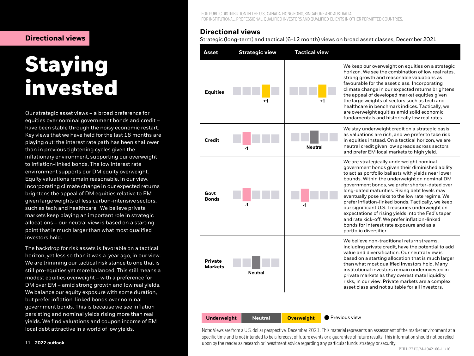# **Staying invested**

Our strategic asset views – a broad preference for equities over nominal government bonds and credit – have been stable through the noisy economic restart. Key views that we have held for the last 18 months are playing out: the interest rate path has been shallower than in previous tightening cycles given the inflationary environment, supporting our overweight to inflation-linked bonds. The low interest rate environment supports our DM equity overweight. Equity valuations remain reasonable, in our view. Incorporating climate change in our expected returns brightens the appeal of DM equities relative to EM given large weights of less carbon-intensive sectors, such as tech and healthcare. We believe private markets keep playing an important role in strategic allocations – our neutral view is based on a starting point that is much larger than what most qualified investors hold.

The backdrop for risk assets is favorable on a tactical horizon, yet less so than it was a year ago, in our view. We are trimming our tactical risk stance to one that is still pro-equities yet more balanced. This still means a modest equities overweight – with a preference for DM over EM – amid strong growth and low real yields. We balance our equity exposure with some duration, but prefer inflation-linked bonds over nominal government bonds. This is because we see inflation persisting and nominal yields rising more than real yields. We find valuations and coupon income of EM local debt attractive in a world of low yields.

FOR PUBLIC DISTRIBUTION IN THE U.S., CANADA, HONG KONG, SINGAPORE AND AUSTRALIA. FOR INSTITUTIONAL, PROFESSIONAL, QUALIFIED INVESTORS AND QUALIFIED CLIENTS IN OTHER PERMITTED COUNTRIES.

#### **Directional views**

**Directional views** Network Strategic (long-term) and tactical (6-12 month) views on broad asset classes, December 2021

| Asset                            | <b>Strategic view</b> | <b>Tactical view</b> |                                                                                                                                                                                                                                                                                                                                                                                                                                                                                                                                                                                                                                                 |
|----------------------------------|-----------------------|----------------------|-------------------------------------------------------------------------------------------------------------------------------------------------------------------------------------------------------------------------------------------------------------------------------------------------------------------------------------------------------------------------------------------------------------------------------------------------------------------------------------------------------------------------------------------------------------------------------------------------------------------------------------------------|
| <b>Equities</b>                  | +1                    | +1                   | We keep our overweight on equities on a strategic<br>horizon. We see the combination of low real rates.<br>strong growth and reasonable valuations as<br>favourable for the asset class. Incorporating<br>climate change in our expected returns brightens<br>the appeal of developed market equities given<br>the large weights of sectors such as tech and<br>healthcare in benchmark indices. Tactically, we<br>are overweight equities amid solid economic<br>fundamentals and historically low real rates.                                                                                                                                 |
| Credit                           | -1                    | Neutral              | We stay underweight credit on a strategic basis<br>as valuations are rich, and we prefer to take risk<br>in equities instead. On a tactical horizon, we are<br>neutral credit given low spreads across sectors<br>and prefer EM local markets to high yield.                                                                                                                                                                                                                                                                                                                                                                                    |
| Govt<br><b>Bonds</b>             | -1                    | -1                   | We are strategically underweight nominal<br>government bonds given their diminished ability<br>to act as portfolio ballasts with yields near lower<br>bounds. Within the underweight on nominal DM<br>government bonds, we prefer shorter-dated over<br>long-dated maturities. Rising debt levels may<br>eventually pose risks to the low rate regime. We<br>prefer inflation-linked bonds. Tactically, we keep<br>our significant U.S. Treasuries underweight on<br>expectations of rising yields into the Fed's taper<br>and rate kick-off. We prefer inflation-linked<br>bonds for interest rate exposure and as a<br>portfolio diversifier. |
| <b>Private</b><br><b>Markets</b> | Neutral               |                      | We believe non-traditional return streams,<br>including private credit, have the potential to add<br>value and diversification. Our neutral view is<br>based on a starting allocation that is much larger<br>than what most qualified investors hold. Many<br>institutional investors remain underinvested in<br>private markets as they overestimate liquidity<br>risks, in our view. Private markets are a complex<br>asset class and not suitable for all investors.                                                                                                                                                                         |
| <b>Underweight</b>               | <b>Neutral</b>        | <b>Overweight</b>    | Previous view                                                                                                                                                                                                                                                                                                                                                                                                                                                                                                                                                                                                                                   |

Note: Views are from a U.S. dollar perspective, December 2021. This material represents an assessment of the market environment at a specific time and is not intended to be a forecast of future events or a guarantee of future results. This information should not be relied upon by the reader as research or investment advice regarding any particular funds, strategy or security.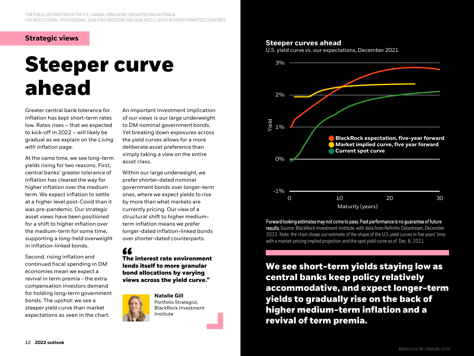#### **Strategic views**

# **Steeper curve ahead**

Greater central bank tolerance for inflation has kept short-term rates low. Rates rises – that we expected to kick-off in 2022 – will likely be gradual as we explain on the *Living with inflation* page.

At the same time, we see long-term yields rising for two reasons. First, central banks' greater tolerance of inflation has cleared the way for higher inflation over the medium term. We expect inflation to settle at a higher level post-Covid than it was pre-pandemic. Our strategic asset views have been positioned for a shift to higher inflation over the medium-term for some time, supporting a long-held overweight in inflation-linked bonds.

Second, rising inflation and continued fiscal spending in DM economies mean we expect a revival in term premia - the extra compensation investors demand for holding long-term government bonds. The upshot: we see a steeper yield curve than market expectations as seen in the chart.

An important investment implication of our views is our large underweight to DM nominal government bonds. Yet breaking down exposures across the yield curves allows for a more deliberate asset preference than simply taking a view on the entire asset class.

Within our large underweight, we prefer shorter-dated nominal government bonds over longer-term ones, where we expect yields to rise by more than what markets are currently pricing. Our view of a structural shift to higher mediumterm inflation means we prefer longer-dated inflation-linked bonds over shorter-dated counterparts.

### "

**The interest rate environment lends itself to more granular bond allocations by varying views across the yield curve."**



**Natalie Gill** Portfolio Strategist, BlackRock Investment Institute

#### **Steeper curves ahead**

U.S. yield curve vs. our expectations, December 2021



Forward looking estimates may not come to pass. Past performance is no guarantee of future results. Source: BlackRock Investment Institute, with data from Refinitiv Datastream, December 2021. Note: the chart shows our estimate of the shape of the U.S. yield curves in five years' time with a market-pricing implied projection and the spot yield curve as of Dec. 6, 2021.

**We see short-term yields staying low as central banks keep policy relatively accommodative, and expect longer-term yields to gradually rise on the back of higher medium-term inflation and a revival of term premia.**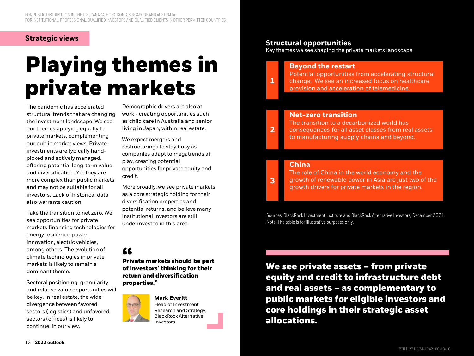#### **Strategic views**

# **Playing themes in private markets**

The pandemic has accelerated structural trends that are changing the investment landscape. We see our themes applying equally to private markets, complementing our public market views. Private investments are typically handpicked and actively managed, offering potential long-term value and diversification. Yet they are more complex than public markets and may not be suitable for all investors. Lack of historical data also warrants caution.

Take the transition to net zero. We see opportunities for private markets financing technologies for energy resilience, power innovation, electric vehicles, among others. The evolution of climate technologies in private markets is likely to remain a dominant theme.

Sectoral positioning, granularity and relative value opportunities will be key. In real estate, the wide divergence between favored sectors (logistics) and unfavored sectors (offices) is likely to continue, in our view.

Demographic drivers are also at work - creating opportunities such as child care in Australia and senior living in Japan, within real estate.

We expect mergers and restructurings to stay busy as companies adapt to megatrends at play, creating potential opportunities for private equity and credit.

More broadly, we see private markets as a core strategic holding for their diversification properties and potential returns, and believe many institutional investors are still underinvested in this area.

### 66

**Private markets should be part of investors' thinking for their return and diversification properties."**



Head of Investment Research and Strategy, BlackRock Alternative Investors

#### **Structural opportunities**

**11**

**2**

**3**

Key themes we see shaping the private markets landscape

### **Beyond the restart**

Potential opportunities from accelerating structural change. We see an increased focus on healthcare provision and acceleration of telemedicine.

#### **Net-zero transition**

The transition to a decarbonized world has consequences for all asset classes from real assets to manufacturing supply chains and beyond.

#### **China**

The role of China in the world economy and the growth of renewable power in Asia are just two of the growth drivers for private markets in the region.

Sources: BlackRock Investment Institute and BlackRock Alternative Investors, December 2021. Note: The table is for illustrative purposes only.

**We see private assets – from private equity and credit to infrastructure debt and real assets – as complementary to public markets for eligible investors and core holdings in their strategic asset allocations.**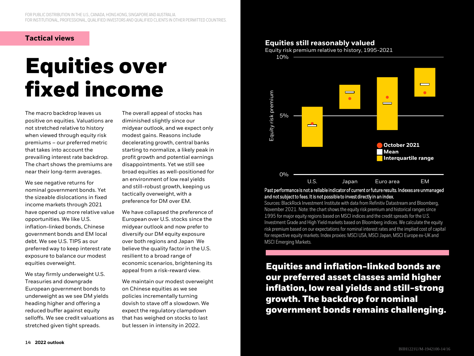#### **Tactical views**

# **Equities over fixed income**

The macro backdrop leaves us positive on equities. Valuations are not stretched relative to history when viewed through equity risk premiums – our preferred metric that takes into account the prevailing interest rate backdrop. The chart shows the premiums are near their long-term averages.

We see negative returns for nominal government bonds. Yet the sizeable dislocations in fixed income markets through 2021 have opened up more relative value opportunities. We like U.S. inflation-linked bonds, Chinese government bonds and EM local debt. We see U.S. TIPS as our preferred way to keep interest rate exposure to balance our modest equities overweight.

We stay firmly underweight U.S. Treasuries and downgrade European government bonds to underweight as we see DM yields heading higher and offering a reduced buffer against equity selloffs. We see credit valuations as stretched given tight spreads.

The overall appeal of stocks has diminished slightly since our midyear outlook, and we expect only modest gains. Reasons include decelerating growth, central banks starting to normalize, a likely peak in profit growth and potential earnings disappointments. Yet we still see broad equities as well-positioned for an environment of low real yields and still-robust growth, keeping us tactically overweight, with a preference for DM over EM.

We have collapsed the preference of European over U.S. stocks since the midyear outlook and now prefer to diversify our DM equity exposure over both regions and Japan We believe the quality factor in the U.S. resilient to a broad range of economic scenarios, brightening its appeal from a risk-reward view.

We maintain our modest overweight on Chinese equities as we see policies incrementally turning dovish to stave off a slowdown. We expect the regulatory clampdown that has weighed on stocks to last but lessen in intensity in 2022.

#### **Equities still reasonably valued**

Equity risk premium relative to history, 1995-2021



Past performance is not a reliable indicator of current or future results. Indexes are unmanaged and not subject to fees. It is not possible to invest directly in an index.

Sources: BlackRock Investment Institute with data from Refinitiv Datastream and Bloomberg, November 2021. Note: the chart shows the equity risk premium and historical ranges since 1995 for major equity regions based on MSCI indices and the credit spreads for the U.S. Investment Grade and High Yield markets based on Bloomberg indices. We calculate the equity risk premium based on our expectations for nominal interest rates and the implied cost of capital for respective equity markets. Index proxies: MSCI USA, MSCI Japan, MSCI Europe ex-UK and MSCI Emerging Markets.

**Equities and inflation-linked bonds are our preferred asset classes amid higher inflation, low real yields and still-strong growth. The backdrop for nominal government bonds remains challenging.**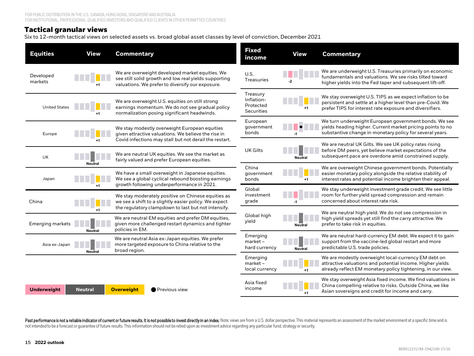#### **Tactical granular views**

Six to 12-month tactical views on selected assets vs. broad global asset classes by level of conviction, December 2021

| <b>Equities</b>                                                                                                                                  | <b>View</b>    | <b>Commentary</b>                                                                                                                                                                  | <b>Fixed</b><br>income                                   | <b>View</b>                                                                                                                                            | <b>Commentary</b>                                                                                                                                                                   |
|--------------------------------------------------------------------------------------------------------------------------------------------------|----------------|------------------------------------------------------------------------------------------------------------------------------------------------------------------------------------|----------------------------------------------------------|--------------------------------------------------------------------------------------------------------------------------------------------------------|-------------------------------------------------------------------------------------------------------------------------------------------------------------------------------------|
| Developed<br>markets                                                                                                                             |                | We are overweight developed market equities. We<br>see still solid growth and low real yields supporting<br>valuations. We prefer to diversify our exposure.                       | U.S.<br>Treasuries                                       | $-2$                                                                                                                                                   | We are underweight U.S. Treasuries primarily on economic<br>fundamentals and valuations. We see risks tilted toward<br>higher yields into the Fed taper and subsequent lift-off.    |
| <b>United States</b>                                                                                                                             |                | We are overweight U.S. equities on still strong<br>earnings momentum. We do not see gradual policy<br>normalization posing significant headwinds.                                  | Treasury<br>Inflation-<br>Protected<br><b>Securities</b> |                                                                                                                                                        | We stay overweight U.S. TIPS as we expect inflation to be<br>persistent and settle at a higher level than pre-Covid. We<br>prefer TIPS for interest rate exposure and diversifiers. |
| Europe                                                                                                                                           |                | We stay modestly overweight European equities<br>given attractive valuations. We believe the rise in                                                                               | European<br>government<br>bonds                          |                                                                                                                                                        | We turn underweight European government bonds. We see<br>yields heading higher. Current market pricing points to no<br>substantive change in monetary policy for several years.     |
| UK                                                                                                                                               |                | Covid infections may stall but not derail the restart.<br>We are neutral UK equities. We see the market as<br>fairly valued and prefer European equities.                          | <b>UK Gilts</b>                                          | <b>Neutral</b>                                                                                                                                         | We are neutral UK Gilts. We see UK policy rates rising<br>before DM peers, yet believe market expectations of the<br>subsequent pace are overdone amid constrained supply.          |
| Japan                                                                                                                                            | <b>Neutral</b> | We have a small overweight in Japanese equities.<br>We see a global cyclical rebound boosting earnings                                                                             | China<br>government<br>bonds                             |                                                                                                                                                        | We are overweight Chinese government bonds. Potentially<br>easier monetary policy alongside the relative stability of<br>interest rates and potential income brighten their appeal. |
| China                                                                                                                                            | $+1$           | growth following underperformance in 2021.<br>We stay moderately positive on Chinese equities as<br>we see a shift to a slightly easier policy. We expect                          | Global<br>investment<br>grade                            | -1                                                                                                                                                     | We stay underweight investment grade credit. We see little<br>room for further yield spread compression and remain<br>concerned about interest rate risk.                           |
| Emerging markets                                                                                                                                 | <b>Neutral</b> | the regulatory clampdown to last but not intensify.<br>We are neutral EM equities and prefer DM equities,<br>given more challenged restart dynamics and tighter<br>policies in EM. | Global high<br>yield                                     | <b>Neutral</b>                                                                                                                                         | We are neutral high yield. We do not see compression in<br>high yield spreads yet still find the carry attractive. We<br>prefer to take risk in equities.                           |
| We are neutral Asia ex-Japan equities. We prefer<br>more targeted exposure to China relative to the<br>Asia ex-Japan<br>broad region.<br>Neutral |                | Emerging<br>market-<br>hard currency                                                                                                                                               | <b>Neutral</b>                                           | We are neutral hard-currency EM debt. We expect it to gain<br>support from the vaccine-led global restart and more<br>predictable U.S. trade policies. |                                                                                                                                                                                     |
|                                                                                                                                                  |                |                                                                                                                                                                                    | Emerging<br>$market -$<br>local currency                 | $+1$                                                                                                                                                   | We are modestly overweight local-currency EM debt on<br>attractive valuations and potential income. Higher yields<br>already reflect EM monetary policy tightening, in our view.    |
| <b>Underweight</b>                                                                                                                               | <b>Neutral</b> | <b>Overweight</b><br>Previous view                                                                                                                                                 | Asia fixed<br>income                                     |                                                                                                                                                        | We stay overweight Asia fixed income. We find valuations in<br>China compelling relative to risks. Outside China, we like<br>Asian sovereigns and credit for income and carry.      |

Past performance is not a reliable indicator of current or future results. It is not possible to invest directly in an index. Note: views are from a U.S. dollar perspective. This material represents an assessment of the ma not intended to be a forecast or guarantee of future results. This information should not be relied upon as investment advice regarding any particular fund, strategy or security.